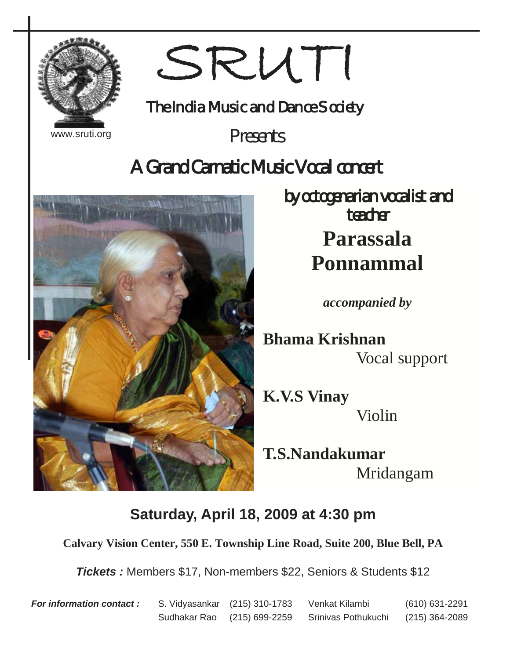

www.sruti.org

# SRUTI

The India Music and Dance Society

*Presents* 

## *A Grand Carnatic Music Vocal concert*



*by octogenarian vocalist and teacher*  **Parassala Ponnammal**

*accompanied by* 

**Bhama Krishnan**  Vocal support

**K.V.S Vinay**  Violin

**T.S.Nandakumar**  Mridangam

## **Saturday, April 18, 2009 at 4:30 pm**

**Calvary Vision Center, 550 E. Township Line Road, Suite 200, Blue Bell, PA** 

*Tickets :* Members \$17, Non-members \$22, Seniors & Students \$12

*For information contact :* S. Vidyasankar (215) 310-1783 Venkat Kilambi (610) 631-2291 Sudhakar Rao (215) 699-2259 Srinivas Pothukuchi (215) 364-2089